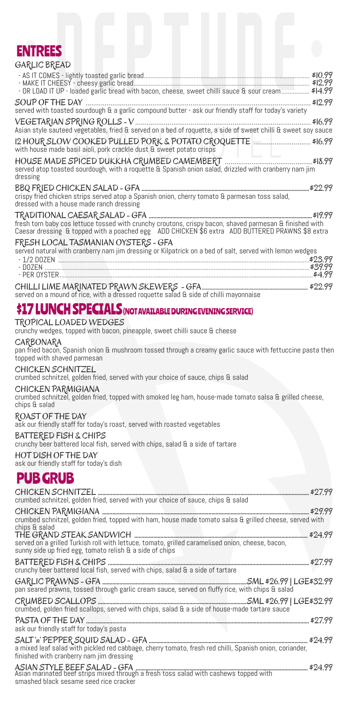

| - OR LOAD IT UP - loaded garlic bread with bacon, cheese, sweet chilli sauce & sour cream \$14.99                                                                                                          |
|------------------------------------------------------------------------------------------------------------------------------------------------------------------------------------------------------------|
| SOUP OF THE DAY<br>\$12.99<br>served with toasted sourdough & a garlic compound butter - ask our friendly staff for today's variety                                                                        |
| VEGETARIAN SPRING ROLLS - V<br>\$16.99<br>Asian style sauteed vegetables, fried & served on a bed of roquette, a side of sweet chilli & sweet soy sauce                                                    |
| with house made basil aioli, pork crackle dust & sweet potato crisps                                                                                                                                       |
| served atop toasted sourdough, with a roquette & Spanish onion salad, drizzled with cranberry nam jim<br>dressing                                                                                          |
| crispy fried chicken strips served atop a Spanish onion, cherry tomato & parmesan toss salad,<br>dressed with a house made ranch dressing                                                                  |
| fresh torn baby cos lettuce tossed with crunchy croutons, crispy bacon, shaved parmesan & finished with<br>Caesar dressing & topped with a poached egg ADD CHICKEN \$6 extra ADD BUTTERED PRAWNS \$8 extra |
| FRESH LOCAL TASMANIAN OYSTERS - GFA<br>served natural with cranberry nam jim dressing or Kilpatrick on a bed of salt, served with lemon wedges                                                             |
| served on a mound of rice, with a dressed roquette salad & side of chilli mayonnaise                                                                                                                       |

## \$17 LUNCH SPECIALS (NOT AVAILABLE DURING EVENING SERVICE)

### TROPICAL LOADED WEDGES

crunchy wedges, topped with bacon, pineapple, sweet chilli sauce & cheese

### CARBONARA

pan fried bacon, Spanish onion & mushroom tossed through a creamy garlic sauce with fettuccine pasta then topped with shaved parmesan

### CHICKEN SCHNITZEL

crumbed schnitzel, golden fried, served with your choice of sauce, chips & salad

### CHICKEN PARMIGIANA

crumbed schnitzel, golden fried, topped with smoked leg ham, house-made tomato salsa & grilled cheese, chips & salad

ROAST OF THE DAY ask our friendly staff for today's roast, served with roasted vegetables

### BATTERED FISH & CHIPS

crunchy beer battered local fish, served with chips, salad & a side of tartare

HOT DISH OF THE DAY

ask our friendly staff for today's dish

## PUB GRUB

| crumbed schnitzel, golden fried, served with your choice of sauce, chips & salad |  |  |
|----------------------------------------------------------------------------------|--|--|

CHICKEN PARMIGIANA .............................................................................................................................................. \$29.99 crumbed schnitzel, golden fried, topped with ham, house made tomato salsa & grilled cheese, served with chips & salad

THE GRAND STEAK SANDWICH ....................................................................................................................... \$24.99 served on a grilled Turkish roll with lettuce, tomato, grilled caramelised onion, cheese, bacon, sunny side up fried egg, tomato relish  $\mathop{\mathrm{a}}\nolimits$  a side of chips BATTERED FISH & CHIPS .......................................................................................................................................... \$27.99 crunchy beer battered local fish, served with chips, salad  $\mathop{\mathrm{a}}$  a side of tartare GARLIC PRAWNS - GFA ...................................................................................................SML \$26.99 | LGE\$32.99 pan seared prawns, tossed through garlic cream sauce, served on fluffy rice, with chips & salad CRUMBED SCALLOPS ......................................................................................................SML \$26.99 | LGE\$32.99 crumbed, golden fried scallops, served with chips, salad & a side of house-made tartare sauce PASTA OF THE DAY ......................................................................................................................................................... \$27.99 ask our friendly staff for today's pasta SALT 'n' PEPPER SQUID SALAD - GFA ............................................................................................................. \$24.99 a mixed leaf salad with pickled red cabbage, cherry tomato, fresh red chilli, Spanish onion, coriander, finished with cranberry nam jim dressing ASIAN STYLE BEEF SALAD - GFA ...................................................................................................................... \$24.99 Asian marinated beef strips mixed through a fresh toss salad with cashews topped with smashed black sesame seed rice cracker